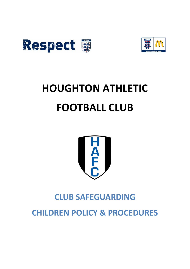



## **HOUGHTON ATHLETIC FOOTBALL CLUB**



## **CLUB SAFEGUARDING**

**CHILDREN POLICY & PROCEDURES**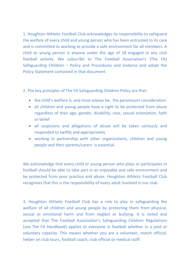1. Houghton Athletic Football Club acknowledges its responsibility to safeguard the welfare of every child and young person who has been entrusted to its care and is committed to working to provide a safe environment for all members. A child or young person is anyone under the age of 18 engaged in any club football activity. We subscribe to The Football Association's (The FA) Safeguarding Children – Policy and Procedures and endorse and adopt the Policy Statement contained in that document.

2. The key principles of The FA Safeguarding Children Policy are that:

- the child's welfare is, and must always be, the paramount consideration
- all children and young people have a right to be protected from abuse regardless of their age, gender, disability, race, sexual orientation, faith or belief
- all suspicions and allegations of abuse will be taken seriously and responded to swiftly and appropriately
- working in partnership with other organisations, children and young people and their parents/carers is essential.

We acknowledge that every child or young person who plays or participates in football should be able to take part in an enjoyable and safe environment and be protected from poor practice and abuse. Houghton Athletic Football Club recognises that this is the responsibility of every adult involved in our club.

3. Houghton Athletic Football Club has a role to play in safeguarding the welfare of all children and young people by protecting them from physical, sexual or emotional harm and from neglect or bullying. It is noted and accepted that The Football Association's Safeguarding Children Regulations (see The FA Handbook) applies to everyone in football whether in a paid or voluntary capacity. This means whether you are a volunteer, match official, helper on club tours, football coach, club official or medical staff.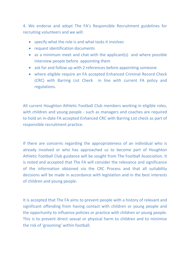4. We endorse and adopt The FA's Responsible Recruitment guidelines for recruiting volunteers and we will:

- specify what the role is and what tasks it involves
- request identification documents
- as a minimum meet and chat with the applicant(s) and where possible interview people before appointing them
- ask for and follow up with 2 references before appointing someone
- where eligible require an FA accepted Enhanced Criminal Record Check (CRC) with Barring List Check in line with current FA policy and regulations.

All current Houghton Athletic Football Club members working in eligible roles, with children and young people - such as managers and coaches are required to hold an in-date FA accepted Enhanced CRC with Barring List check as part of responsible recruitment practice.

If there are concerns regarding the appropriateness of an individual who is already involved or who has approached us to become part of Houghton Athletic Football Club guidance will be sought from The Football Association. It is noted and accepted that The FA will consider the relevance and significance of the information obtained via the CRC Process and that all suitability decisions will be made in accordance with legislation and in the best interests of children and young people.

It is accepted that The FA aims to prevent people with a history of relevant and significant offending from having contact with children or young people and the opportunity to influence policies or practice with children or young people. This is to prevent direct sexual or physical harm to children and to minimise the risk of 'grooming' within football.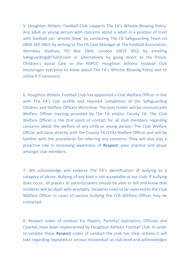5. Houghton Athletic Football Club supports The FA's Whistle Blowing Policy. Any adult or young person with concerns about a adult in a position of trust with football can 'whistle blow' by contacting The FA Safeguarding Team on 0800 169 1863, by writing to The FA Case Manager at The Football Association, Wembley Stadium, PO Box 1966, London SW1P 9EQ, by emailing Safeguarding@TheFA.com or alternatively by going direct to the Police, Children's Social Care or the NSPCC. Houghton Athletic Football Club encourages everyone to know about The FA's Whistle Blowing Policy and to utilise it if necessary.

6. Houghton Athletic Football Club has appointed a Club Welfare Officer in line with The FA's role profile and required completion of the Safeguarding Children and Welfare Officers Workshop. The post holder will be involved with Welfare Officer training provided by The FA and/or County FA. The Club Welfare Officer is the first point of contact for all club members regarding concerns about the welfare of any child or young person. The Club Welfare Officer will liaise directly with the County FA (CFA) Welfare Officer and will be familiar with the procedures for referring any concerns. They will also play a proactive role in increasing awareness of **Respect**, poor practice and abuse amongst club members.

7. We acknowledge and endorse The FA's identification of bullying as a category of abuse. Bullying of any kind is not acceptable at our club. If bullying does occur, all players or parents/carers should be able to tell and know that incidents will be dealt with promptly. Incidents need to be reported to the Club Welfare Officer in cases of serious bullying the CFA Welfare Officer may be contacted.

8. Respect codes of conduct for Players, Parents/ Spectators, Officials and Coaches have been implemented by Houghton Athletic Football Club. In order to validate these **Respect** codes of conduct the club has clear actions it will take regarding repeated or serious misconduct at club level and acknowledges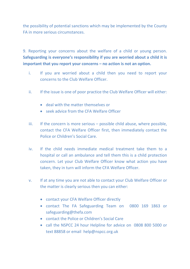the possibility of potential sanctions which may be implemented by the County FA in more serious circumstances.

9. Reporting your concerns about the welfare of a child or young person. **Safeguarding is everyone's responsibility if you are worried about a child it is important that you report your concerns – no action is not an option.**

- i. If you are worried about a child then you need to report your concerns to the Club Welfare Officer.
- ii. If the issue is one of poor practice the Club Welfare Officer will either:
	- deal with the matter themselves or
	- seek advice from the CFA Welfare Officer
- iii. If the concern is more serious  $-$  possible child abuse, where possible, contact the CFA Welfare Officer first, then immediately contact the Police or Children's Social Care.
- iv. If the child needs immediate medical treatment take them to a hospital or call an ambulance and tell them this is a child protection concern. Let your Club Welfare Officer know what action you have taken, they in turn will inform the CFA Welfare Officer.
- v. If at any time you are not able to contact your Club Welfare Officer or the matter is clearly serious then you can either:
	- contact your CFA Welfare Officer directly
	- contact The FA Safeguarding Team on 0800 169 1863 or safeguarding@thefa.com
	- contact the Police or Children's Social Care
	- call the NSPCC 24 hour Helpline for advice on 0808 800 5000 or text 88858 or email help@nspcc.org.uk